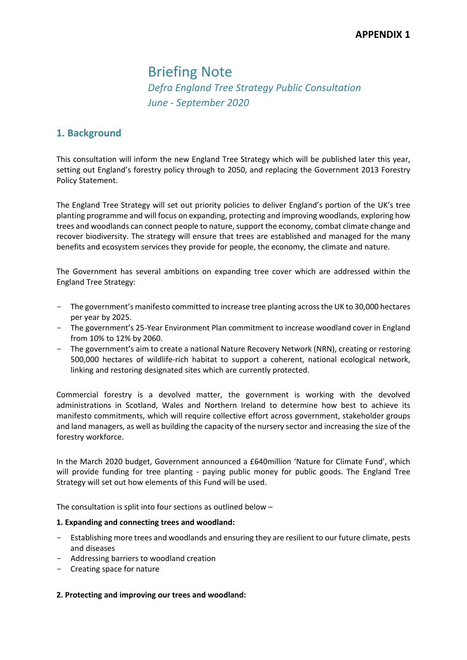# Briefing Note *Defra England Tree Strategy Public Consultation June - September 2020*

### **1. Background**

This consultation will inform the new England Tree Strategy which will be published later this year, setting out England's forestry policy through to 2050, and replacing the Government 2013 Forestry Policy Statement.

The England Tree Strategy will set out priority policies to deliver England's portion of the UK's tree planting programme and will focus on expanding, protecting and improving woodlands, exploring how trees and woodlands can connect people to nature, support the economy, combat climate change and recover biodiversity. The strategy will ensure that trees are established and managed for the many benefits and ecosystem services they provide for people, the economy, the climate and nature.

The Government has several ambitions on expanding tree cover which are addressed within the England Tree Strategy:

- The government's manifesto committed to increase tree planting acrossthe UK to 30,000 hectares per year by 2025.
- The government's 25-Year Environment Plan commitment to increase woodland cover in England from 10% to 12% by 2060.
- The government's aim to create a national Nature Recovery Network (NRN), creating or restoring 500,000 hectares of wildlife-rich habitat to support a coherent, national ecological network, linking and restoring designated sites which are currently protected.

Commercial forestry is a devolved matter, the government is working with the devolved administrations in Scotland, Wales and Northern Ireland to determine how best to achieve its manifesto commitments, which will require collective effort across government, stakeholder groups and land managers, as well as building the capacity of the nursery sector and increasing the size of the forestry workforce.

In the March 2020 budget, Government announced a £640million 'Nature for Climate Fund', which will provide funding for tree planting - paying public money for public goods. The England Tree Strategy will set out how elements of this Fund will be used.

The consultation is split into four sections as outlined below –

#### **1. Expanding and connecting trees and woodland:**

- Establishing more trees and woodlands and ensuring they are resilient to our future climate, pests and diseases
- Addressing barriers to woodland creation
- Creating space for nature

#### **2. Protecting and improving our trees and woodland:**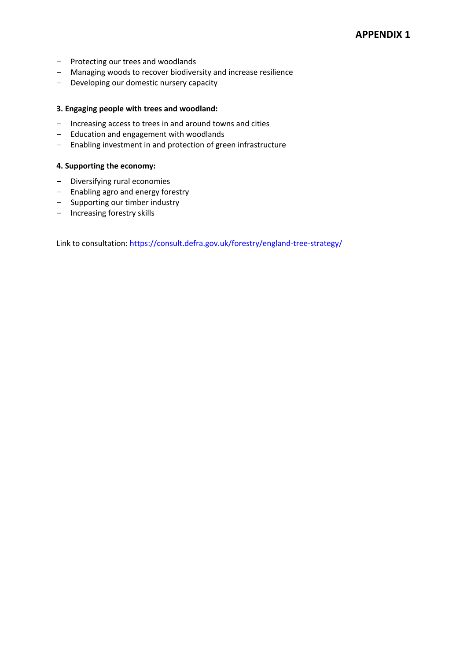- Protecting our trees and woodlands
- Managing woods to recover biodiversity and increase resilience
- Developing our domestic nursery capacity

#### **3. Engaging people with trees and woodland:**

- Increasing access to trees in and around towns and cities
- Education and engagement with woodlands
- Enabling investment in and protection of green infrastructure

#### **4. Supporting the economy:**

- Diversifying rural economies
- Enabling agro and energy forestry
- Supporting our timber industry
- Increasing forestry skills

Link to consultation: <https://consult.defra.gov.uk/forestry/england-tree-strategy/>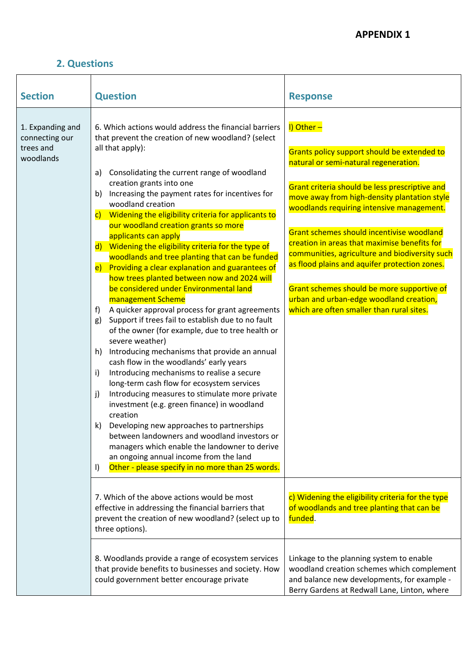# **2. Questions**

| <b>Section</b>                                               | <b>Question</b>                                                                                                                                                                                                                                                                                                                                                                                                                                                                                                                                                                                                                                                                                                                                                                                                                                                                                                                                                                                                                                                                                                                                                                                                                                                                                                                                                                                                                                                                               | <b>Response</b>                                                                                                                                                                                                                                                                                                                                                                                                                                                                                                                                                                         |
|--------------------------------------------------------------|-----------------------------------------------------------------------------------------------------------------------------------------------------------------------------------------------------------------------------------------------------------------------------------------------------------------------------------------------------------------------------------------------------------------------------------------------------------------------------------------------------------------------------------------------------------------------------------------------------------------------------------------------------------------------------------------------------------------------------------------------------------------------------------------------------------------------------------------------------------------------------------------------------------------------------------------------------------------------------------------------------------------------------------------------------------------------------------------------------------------------------------------------------------------------------------------------------------------------------------------------------------------------------------------------------------------------------------------------------------------------------------------------------------------------------------------------------------------------------------------------|-----------------------------------------------------------------------------------------------------------------------------------------------------------------------------------------------------------------------------------------------------------------------------------------------------------------------------------------------------------------------------------------------------------------------------------------------------------------------------------------------------------------------------------------------------------------------------------------|
| 1. Expanding and<br>connecting our<br>trees and<br>woodlands | 6. Which actions would address the financial barriers<br>that prevent the creation of new woodland? (select<br>all that apply):<br>Consolidating the current range of woodland<br>a)<br>creation grants into one<br>Increasing the payment rates for incentives for<br>b)<br>woodland creation<br>Widening the eligibility criteria for applicants to<br>$\mathsf{c}$ )<br>our woodland creation grants so more<br>applicants can apply<br>d) Widening the eligibility criteria for the type of<br>woodlands and tree planting that can be funded<br>e) Providing a clear explanation and guarantees of<br>how trees planted between now and 2024 will<br>be considered under Environmental land<br>management Scheme<br>A quicker approval process for grant agreements<br>f)<br>Support if trees fail to establish due to no fault<br>g)<br>of the owner (for example, due to tree health or<br>severe weather)<br>Introducing mechanisms that provide an annual<br>h)<br>cash flow in the woodlands' early years<br>Introducing mechanisms to realise a secure<br>i)<br>long-term cash flow for ecosystem services<br>Introducing measures to stimulate more private<br>j)<br>investment (e.g. green finance) in woodland<br>creation<br>k) Developing new approaches to partnerships<br>between landowners and woodland investors or<br>managers which enable the landowner to derive<br>an ongoing annual income from the land<br>Other - please specify in no more than 25 words.<br>I) | I) Other -<br>Grants policy support should be extended to<br>natural or semi-natural regeneration.<br>Grant criteria should be less prescriptive and<br>move away from high-density plantation style<br>woodlands requiring intensive management.<br>Grant schemes should incentivise woodland<br>creation in areas that maximise benefits for<br>communities, agriculture and biodiversity such<br>as flood plains and aquifer protection zones.<br>Grant schemes should be more supportive of<br>urban and urban-edge woodland creation,<br>which are often smaller than rural sites. |
|                                                              | 7. Which of the above actions would be most<br>effective in addressing the financial barriers that<br>prevent the creation of new woodland? (select up to<br>three options).                                                                                                                                                                                                                                                                                                                                                                                                                                                                                                                                                                                                                                                                                                                                                                                                                                                                                                                                                                                                                                                                                                                                                                                                                                                                                                                  | c) Widening the eligibility criteria for the type<br>of woodlands and tree planting that can be<br>funded.                                                                                                                                                                                                                                                                                                                                                                                                                                                                              |
|                                                              | 8. Woodlands provide a range of ecosystem services<br>that provide benefits to businesses and society. How<br>could government better encourage private                                                                                                                                                                                                                                                                                                                                                                                                                                                                                                                                                                                                                                                                                                                                                                                                                                                                                                                                                                                                                                                                                                                                                                                                                                                                                                                                       | Linkage to the planning system to enable<br>woodland creation schemes which complement<br>and balance new developments, for example -<br>Berry Gardens at Redwall Lane, Linton, where                                                                                                                                                                                                                                                                                                                                                                                                   |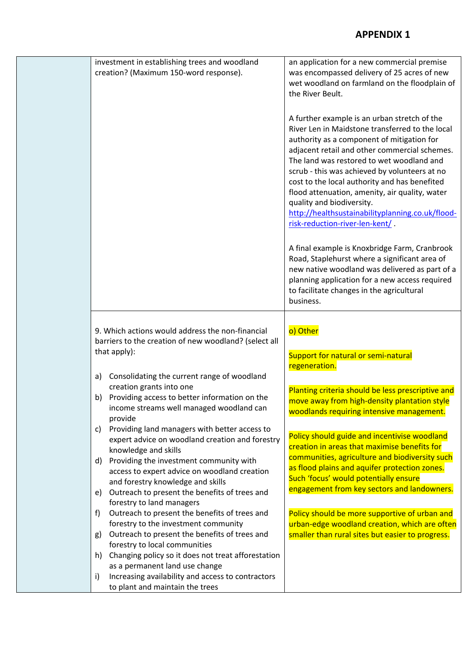| investment in establishing trees and woodland                                              | an application for a new commercial premise       |
|--------------------------------------------------------------------------------------------|---------------------------------------------------|
| creation? (Maximum 150-word response).                                                     | was encompassed delivery of 25 acres of new       |
|                                                                                            | wet woodland on farmland on the floodplain of     |
|                                                                                            | the River Beult.                                  |
|                                                                                            |                                                   |
|                                                                                            | A further example is an urban stretch of the      |
|                                                                                            | River Len in Maidstone transferred to the local   |
|                                                                                            | authority as a component of mitigation for        |
|                                                                                            | adjacent retail and other commercial schemes.     |
|                                                                                            | The land was restored to wet woodland and         |
|                                                                                            | scrub - this was achieved by volunteers at no     |
|                                                                                            | cost to the local authority and has benefited     |
|                                                                                            | flood attenuation, amenity, air quality, water    |
|                                                                                            | quality and biodiversity.                         |
|                                                                                            | http://healthsustainabilityplanning.co.uk/flood-  |
|                                                                                            | risk-reduction-river-len-kent/.                   |
|                                                                                            |                                                   |
|                                                                                            | A final example is Knoxbridge Farm, Cranbrook     |
|                                                                                            | Road, Staplehurst where a significant area of     |
|                                                                                            | new native woodland was delivered as part of a    |
|                                                                                            | planning application for a new access required    |
|                                                                                            | to facilitate changes in the agricultural         |
|                                                                                            | business.                                         |
|                                                                                            |                                                   |
| 9. Which actions would address the non-financial                                           | o) Other                                          |
| barriers to the creation of new woodland? (select all                                      |                                                   |
| that apply):                                                                               |                                                   |
|                                                                                            | Support for natural or semi-natural               |
|                                                                                            | regeneration.                                     |
| Consolidating the current range of woodland<br>a)<br>creation grants into one              |                                                   |
| Providing access to better information on the<br>b)                                        | Planting criteria should be less prescriptive and |
| income streams well managed woodland can                                                   | move away from high-density plantation style      |
| provide                                                                                    | woodlands requiring intensive management.         |
| c) Providing land managers with better access to                                           |                                                   |
| expert advice on woodland creation and forestry                                            | Policy should guide and incentivise woodland      |
| knowledge and skills                                                                       | creation in areas that maximise benefits for      |
| Providing the investment community with<br>d)                                              | communities, agriculture and biodiversity such    |
| access to expert advice on woodland creation                                               | as flood plains and aquifer protection zones.     |
| and forestry knowledge and skills                                                          | Such 'focus' would potentially ensure             |
| Outreach to present the benefits of trees and<br>e)                                        | engagement from key sectors and landowners.       |
| forestry to land managers                                                                  |                                                   |
| Outreach to present the benefits of trees and<br>f)                                        | Policy should be more supportive of urban and     |
| forestry to the investment community                                                       | urban-edge woodland creation, which are often     |
| Outreach to present the benefits of trees and<br>g)                                        | smaller than rural sites but easier to progress.  |
|                                                                                            |                                                   |
| forestry to local communities                                                              |                                                   |
| h) Changing policy so it does not treat afforestation                                      |                                                   |
| as a permanent land use change                                                             |                                                   |
| Increasing availability and access to contractors<br>i)<br>to plant and maintain the trees |                                                   |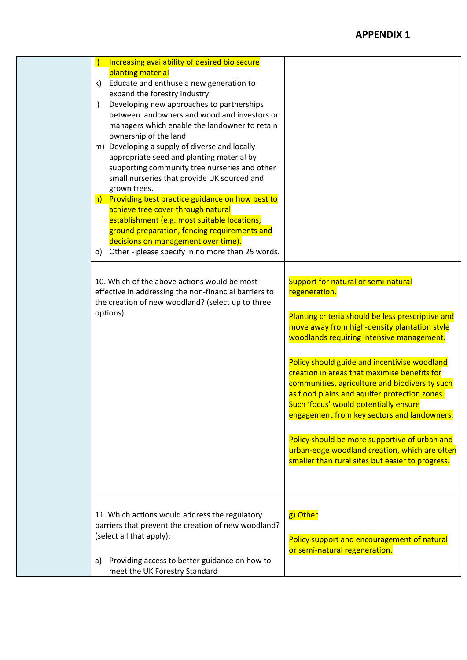| Increasing availability of desired bio secure<br>$\mathbf{j}$<br>planting material<br>Educate and enthuse a new generation to<br>k)<br>expand the forestry industry<br>Developing new approaches to partnerships<br>$\vert$<br>between landowners and woodland investors or<br>managers which enable the landowner to retain<br>ownership of the land<br>m) Developing a supply of diverse and locally<br>appropriate seed and planting material by<br>supporting community tree nurseries and other<br>small nurseries that provide UK sourced and<br>grown trees.<br>Providing best practice guidance on how best to<br>$\vert n \rangle$<br>achieve tree cover through natural<br>establishment (e.g. most suitable locations,<br>ground preparation, fencing requirements and<br>decisions on management over time).<br>Other - please specify in no more than 25 words.<br>$\circ$ )<br>10. Which of the above actions would be most<br>effective in addressing the non-financial barriers to<br>the creation of new woodland? (select up to three<br>options). | Support for natural or semi-natural<br>regeneration.<br>Planting criteria should be less prescriptive and<br>move away from high-density plantation style<br>woodlands requiring intensive management.<br>Policy should guide and incentivise woodland<br>creation in areas that maximise benefits for<br>communities, agriculture and biodiversity such<br>as flood plains and aquifer protection zones.<br>Such 'focus' would potentially ensure<br>engagement from key sectors and landowners.<br>Policy should be more supportive of urban and<br>urban-edge woodland creation, which are often<br>smaller than rural sites but easier to progress. |
|----------------------------------------------------------------------------------------------------------------------------------------------------------------------------------------------------------------------------------------------------------------------------------------------------------------------------------------------------------------------------------------------------------------------------------------------------------------------------------------------------------------------------------------------------------------------------------------------------------------------------------------------------------------------------------------------------------------------------------------------------------------------------------------------------------------------------------------------------------------------------------------------------------------------------------------------------------------------------------------------------------------------------------------------------------------------|---------------------------------------------------------------------------------------------------------------------------------------------------------------------------------------------------------------------------------------------------------------------------------------------------------------------------------------------------------------------------------------------------------------------------------------------------------------------------------------------------------------------------------------------------------------------------------------------------------------------------------------------------------|
| 11. Which actions would address the regulatory<br>barriers that prevent the creation of new woodland?<br>(select all that apply):<br>Providing access to better guidance on how to<br>a)<br>meet the UK Forestry Standard                                                                                                                                                                                                                                                                                                                                                                                                                                                                                                                                                                                                                                                                                                                                                                                                                                            | g) Other<br>Policy support and encouragement of natural<br>or semi-natural regeneration.                                                                                                                                                                                                                                                                                                                                                                                                                                                                                                                                                                |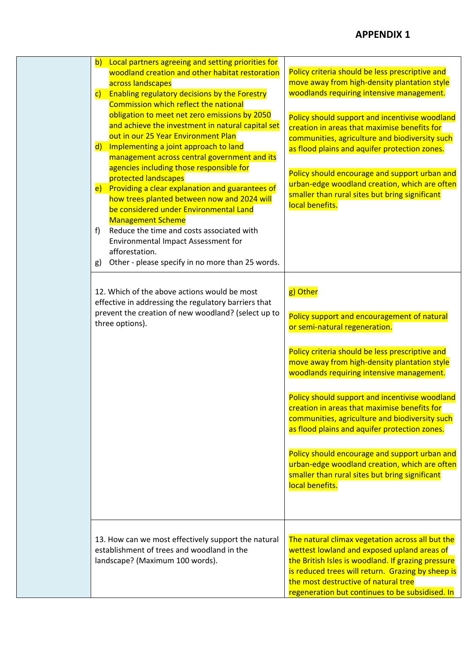|  | $\mathsf{b}$<br>Local partners agreeing and setting priorities for<br>woodland creation and other habitat restoration<br>across landscapes<br><b>Enabling regulatory decisions by the Forestry</b><br>$\mathsf{c}$<br><b>Commission which reflect the national</b><br>obligation to meet net zero emissions by 2050<br>and achieve the investment in natural capital set<br>out in our 25 Year Environment Plan<br>Implementing a joint approach to land<br>$\mathsf{d}$<br>management across central government and its<br>agencies including those responsible for<br>protected landscapes<br>Providing a clear explanation and guarantees of<br>$\vert e \rangle$<br>how trees planted between now and 2024 will<br>be considered under Environmental Land<br><b>Management Scheme</b><br>Reduce the time and costs associated with<br>f<br>Environmental Impact Assessment for<br>afforestation.<br>Other - please specify in no more than 25 words.<br>g) | Policy criteria should be less prescriptive and<br>move away from high-density plantation style<br>woodlands requiring intensive management.<br>Policy should support and incentivise woodland<br>creation in areas that maximise benefits for<br>communities, agriculture and biodiversity such<br>as flood plains and aquifer protection zones.<br>Policy should encourage and support urban and<br>urban-edge woodland creation, which are often<br>smaller than rural sites but bring significant<br>local benefits.                                                                                             |
|--|----------------------------------------------------------------------------------------------------------------------------------------------------------------------------------------------------------------------------------------------------------------------------------------------------------------------------------------------------------------------------------------------------------------------------------------------------------------------------------------------------------------------------------------------------------------------------------------------------------------------------------------------------------------------------------------------------------------------------------------------------------------------------------------------------------------------------------------------------------------------------------------------------------------------------------------------------------------|----------------------------------------------------------------------------------------------------------------------------------------------------------------------------------------------------------------------------------------------------------------------------------------------------------------------------------------------------------------------------------------------------------------------------------------------------------------------------------------------------------------------------------------------------------------------------------------------------------------------|
|  | 12. Which of the above actions would be most<br>effective in addressing the regulatory barriers that<br>prevent the creation of new woodland? (select up to<br>three options).                                                                                                                                                                                                                                                                                                                                                                                                                                                                                                                                                                                                                                                                                                                                                                                 | g) Other<br>Policy support and encouragement of natural<br>or semi-natural regeneration.<br>Policy criteria should be less prescriptive and<br>move away from high-density plantation style<br>woodlands requiring intensive management.<br>Policy should support and incentivise woodland<br>creation in areas that maximise benefits for<br>communities, agriculture and biodiversity such<br>as flood plains and aquifer protection zones.<br>Policy should encourage and support urban and<br>urban-edge woodland creation, which are often<br>smaller than rural sites but bring significant<br>local benefits. |
|  | 13. How can we most effectively support the natural<br>establishment of trees and woodland in the<br>landscape? (Maximum 100 words).                                                                                                                                                                                                                                                                                                                                                                                                                                                                                                                                                                                                                                                                                                                                                                                                                           | The natural climax vegetation across all but the<br>wettest lowland and exposed upland areas of<br>the British Isles is woodland. If grazing pressure<br>is reduced trees will return. Grazing by sheep is<br>the most destructive of natural tree<br>regeneration but continues to be subsidised. In                                                                                                                                                                                                                                                                                                                |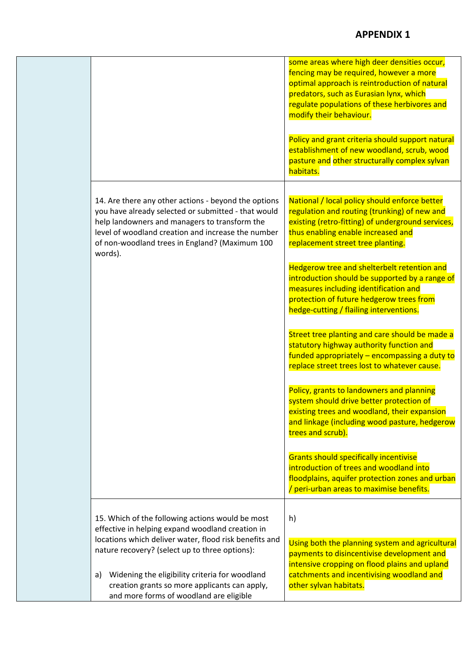|                                                                                                                                                                                                                                                                                 | some areas where high deer densities occur,<br>fencing may be required, however a more<br>optimal approach is reintroduction of natural<br>predators, such as Eurasian lynx, which<br>regulate populations of these herbivores and<br>modify their behaviour.<br>Policy and grant criteria should support natural<br>establishment of new woodland, scrub, wood<br>pasture and other structurally complex sylvan<br>habitats. |
|---------------------------------------------------------------------------------------------------------------------------------------------------------------------------------------------------------------------------------------------------------------------------------|-------------------------------------------------------------------------------------------------------------------------------------------------------------------------------------------------------------------------------------------------------------------------------------------------------------------------------------------------------------------------------------------------------------------------------|
| 14. Are there any other actions - beyond the options<br>you have already selected or submitted - that would<br>help landowners and managers to transform the<br>level of woodland creation and increase the number<br>of non-woodland trees in England? (Maximum 100<br>words). | National / local policy should enforce better<br>regulation and routing (trunking) of new and<br>existing (retro-fitting) of underground services,<br>thus enabling enable increased and<br>replacement street tree planting.                                                                                                                                                                                                 |
|                                                                                                                                                                                                                                                                                 | Hedgerow tree and shelterbelt retention and<br>introduction should be supported by a range of<br>measures including identification and<br>protection of future hedgerow trees from<br>hedge-cutting / flailing interventions.                                                                                                                                                                                                 |
|                                                                                                                                                                                                                                                                                 | Street tree planting and care should be made a<br>statutory highway authority function and<br>funded appropriately - encompassing a duty to<br>replace street trees lost to whatever cause.                                                                                                                                                                                                                                   |
|                                                                                                                                                                                                                                                                                 | Policy, grants to landowners and planning<br>system should drive better protection of<br>existing trees and woodland, their expansion<br>and linkage (including wood pasture, hedgerow<br>trees and scrub).                                                                                                                                                                                                                   |
|                                                                                                                                                                                                                                                                                 | <b>Grants should specifically incentivise</b><br>introduction of trees and woodland into<br>floodplains, aquifer protection zones and urban<br>/ peri-urban areas to maximise benefits.                                                                                                                                                                                                                                       |
| 15. Which of the following actions would be most<br>effective in helping expand woodland creation in<br>locations which deliver water, flood risk benefits and<br>nature recovery? (select up to three options):                                                                | h)<br>Using both the planning system and agricultural<br>payments to disincentivise development and<br>intensive cropping on flood plains and upland                                                                                                                                                                                                                                                                          |
| Widening the eligibility criteria for woodland<br>a)<br>creation grants so more applicants can apply,<br>and more forms of woodland are eligible                                                                                                                                | catchments and incentivising woodland and<br>other sylvan habitats.                                                                                                                                                                                                                                                                                                                                                           |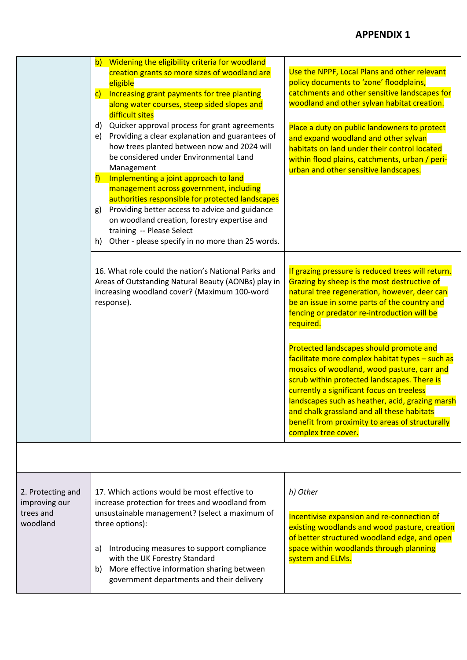|                                                             | b) Widening the eligibility criteria for woodland<br>creation grants so more sizes of woodland are<br>eligible<br>Increasing grant payments for tree planting<br>$\mathsf{c}$ )<br>along water courses, steep sided slopes and<br>difficult sites<br>d) Quicker approval process for grant agreements<br>Providing a clear explanation and guarantees of<br>e)<br>how trees planted between now and 2024 will<br>be considered under Environmental Land<br>Management<br>Implementing a joint approach to land<br>f<br>management across government, including<br>authorities responsible for protected landscapes<br>Providing better access to advice and guidance<br>g)<br>on woodland creation, forestry expertise and<br>training -- Please Select<br>Other - please specify in no more than 25 words.<br>h) | Use the NPPF, Local Plans and other relevant<br>policy documents to 'zone' floodplains,<br>catchments and other sensitive landscapes for<br>woodland and other sylvan habitat creation.<br>Place a duty on public landowners to protect<br>and expand woodland and other sylvan<br>habitats on land under their control located<br>within flood plains, catchments, urban / peri-<br>urban and other sensitive landscapes.                                                                                                                                                                                                                                                       |
|-------------------------------------------------------------|-------------------------------------------------------------------------------------------------------------------------------------------------------------------------------------------------------------------------------------------------------------------------------------------------------------------------------------------------------------------------------------------------------------------------------------------------------------------------------------------------------------------------------------------------------------------------------------------------------------------------------------------------------------------------------------------------------------------------------------------------------------------------------------------------------------------|----------------------------------------------------------------------------------------------------------------------------------------------------------------------------------------------------------------------------------------------------------------------------------------------------------------------------------------------------------------------------------------------------------------------------------------------------------------------------------------------------------------------------------------------------------------------------------------------------------------------------------------------------------------------------------|
|                                                             | 16. What role could the nation's National Parks and<br>Areas of Outstanding Natural Beauty (AONBs) play in<br>increasing woodland cover? (Maximum 100-word<br>response).                                                                                                                                                                                                                                                                                                                                                                                                                                                                                                                                                                                                                                          | If grazing pressure is reduced trees will return.<br>Grazing by sheep is the most destructive of<br>natural tree regeneration, however, deer can<br>be an issue in some parts of the country and<br>fencing or predator re-introduction will be<br>required.<br>Protected landscapes should promote and<br>facilitate more complex habitat types - such as<br>mosaics of woodland, wood pasture, carr and<br>scrub within protected landscapes. There is<br>currently a significant focus on treeless<br>landscapes such as heather, acid, grazing marsh<br>and chalk grassland and all these habitats<br>benefit from proximity to areas of structurally<br>complex tree cover. |
|                                                             |                                                                                                                                                                                                                                                                                                                                                                                                                                                                                                                                                                                                                                                                                                                                                                                                                   |                                                                                                                                                                                                                                                                                                                                                                                                                                                                                                                                                                                                                                                                                  |
| 2. Protecting and<br>improving our<br>trees and<br>woodland | 17. Which actions would be most effective to<br>increase protection for trees and woodland from<br>unsustainable management? (select a maximum of<br>three options):<br>Introducing measures to support compliance<br>a)<br>with the UK Forestry Standard<br>More effective information sharing between<br>b)<br>government departments and their delivery                                                                                                                                                                                                                                                                                                                                                                                                                                                        | h) Other<br>Incentivise expansion and re-connection of<br>existing woodlands and wood pasture, creation<br>of better structured woodland edge, and open<br>space within woodlands through planning<br>system and ELMs.                                                                                                                                                                                                                                                                                                                                                                                                                                                           |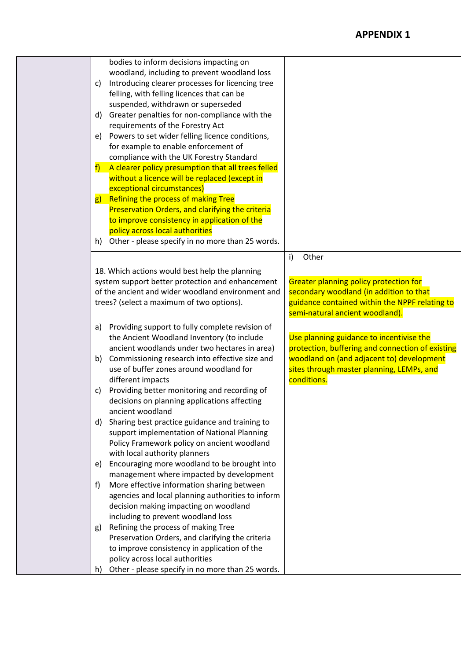|    | bodies to inform decisions impacting on            |                                                  |
|----|----------------------------------------------------|--------------------------------------------------|
|    | woodland, including to prevent woodland loss       |                                                  |
| C) | Introducing clearer processes for licencing tree   |                                                  |
|    | felling, with felling licences that can be         |                                                  |
|    | suspended, withdrawn or superseded                 |                                                  |
|    | d) Greater penalties for non-compliance with the   |                                                  |
|    | requirements of the Forestry Act                   |                                                  |
| e) | Powers to set wider felling licence conditions,    |                                                  |
|    | for example to enable enforcement of               |                                                  |
|    | compliance with the UK Forestry Standard           |                                                  |
| f  | A clearer policy presumption that all trees felled |                                                  |
|    | without a licence will be replaced (except in      |                                                  |
|    | exceptional circumstances)                         |                                                  |
| g  | Refining the process of making Tree                |                                                  |
|    | Preservation Orders, and clarifying the criteria   |                                                  |
|    | to improve consistency in application of the       |                                                  |
|    | policy across local authorities                    |                                                  |
| h) | Other - please specify in no more than 25 words.   |                                                  |
|    |                                                    |                                                  |
|    |                                                    | i)<br>Other                                      |
|    | 18. Which actions would best help the planning     |                                                  |
|    | system support better protection and enhancement   | <b>Greater planning policy protection for</b>    |
|    | of the ancient and wider woodland environment and  | secondary woodland (in addition to that          |
|    | trees? (select a maximum of two options).          | guidance contained within the NPPF relating to   |
|    |                                                    | semi-natural ancient woodland).                  |
| a) | Providing support to fully complete revision of    |                                                  |
|    | the Ancient Woodland Inventory (to include         | Use planning guidance to incentivise the         |
|    | ancient woodlands under two hectares in area)      | protection, buffering and connection of existing |
| b) | Commissioning research into effective size and     | woodland on (and adjacent to) development        |
|    | use of buffer zones around woodland for            | sites through master planning, LEMPs, and        |
|    | different impacts                                  | conditions.                                      |
| C) | Providing better monitoring and recording of       |                                                  |
|    | decisions on planning applications affecting       |                                                  |
|    | ancient woodland                                   |                                                  |
| d) | Sharing best practice guidance and training to     |                                                  |
|    | support implementation of National Planning        |                                                  |
|    | Policy Framework policy on ancient woodland        |                                                  |
|    | with local authority planners                      |                                                  |
| e) | Encouraging more woodland to be brought into       |                                                  |
|    | management where impacted by development           |                                                  |
| f) | More effective information sharing between         |                                                  |
|    | agencies and local planning authorities to inform  |                                                  |
|    | decision making impacting on woodland              |                                                  |
|    | including to prevent woodland loss                 |                                                  |
| g) | Refining the process of making Tree                |                                                  |
|    | Preservation Orders, and clarifying the criteria   |                                                  |
|    | to improve consistency in application of the       |                                                  |
|    | policy across local authorities                    |                                                  |
| h) | Other - please specify in no more than 25 words.   |                                                  |
|    |                                                    |                                                  |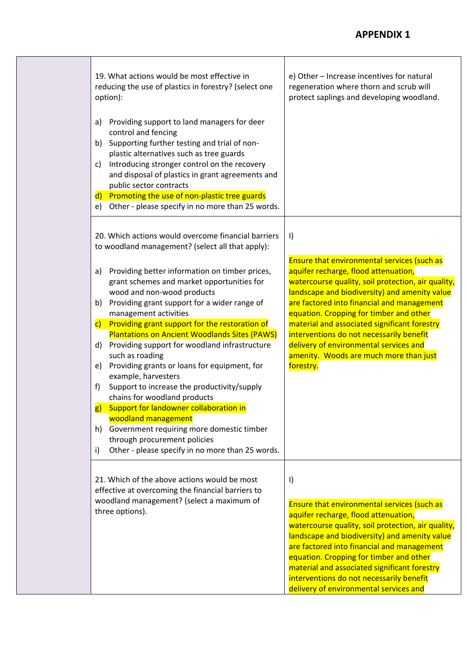|  | 19. What actions would be most effective in<br>reducing the use of plastics in forestry? (select one<br>option):<br>Providing support to land managers for deer<br>a)<br>control and fencing<br>b) Supporting further testing and trial of non-<br>plastic alternatives such as tree guards<br>Introducing stronger control on the recovery<br>C)<br>and disposal of plastics in grant agreements and<br>public sector contracts<br>d) Promoting the use of non-plastic tree guards<br>Other - please specify in no more than 25 words.<br>e)                                                                                                                                                                                                                                                                                                                                                  | e) Other - Increase incentives for natural<br>regeneration where thorn and scrub will<br>protect saplings and developing woodland.                                                                                                                                                                                                                                                                                                                                                                 |
|--|------------------------------------------------------------------------------------------------------------------------------------------------------------------------------------------------------------------------------------------------------------------------------------------------------------------------------------------------------------------------------------------------------------------------------------------------------------------------------------------------------------------------------------------------------------------------------------------------------------------------------------------------------------------------------------------------------------------------------------------------------------------------------------------------------------------------------------------------------------------------------------------------|----------------------------------------------------------------------------------------------------------------------------------------------------------------------------------------------------------------------------------------------------------------------------------------------------------------------------------------------------------------------------------------------------------------------------------------------------------------------------------------------------|
|  | 20. Which actions would overcome financial barriers<br>to woodland management? (select all that apply):<br>Providing better information on timber prices,<br>a)<br>grant schemes and market opportunities for<br>wood and non-wood products<br>b) Providing grant support for a wider range of<br>management activities<br>c) Providing grant support for the restoration of<br><b>Plantations on Ancient Woodlands Sites (PAWS)</b><br>d) Providing support for woodland infrastructure<br>such as roading<br>Providing grants or loans for equipment, for<br>e)<br>example, harvesters<br>Support to increase the productivity/supply<br>f)<br>chains for woodland products<br>g) Support for landowner collaboration in<br>woodland management<br>Government requiring more domestic timber<br>h)<br>through procurement policies<br>Other - please specify in no more than 25 words.<br>i) | $\vert$<br><b>Ensure that environmental services (such as</b><br>aquifer recharge, flood attenuation,<br>watercourse quality, soil protection, air quality,<br>landscape and biodiversity) and amenity value<br>are factored into financial and management<br>equation. Cropping for timber and other<br>material and associated significant forestry<br>interventions do not necessarily benefit<br>delivery of environmental services and<br>amenity. Woods are much more than just<br>forestry. |
|  | 21. Which of the above actions would be most<br>effective at overcoming the financial barriers to<br>woodland management? (select a maximum of<br>three options).                                                                                                                                                                                                                                                                                                                                                                                                                                                                                                                                                                                                                                                                                                                              | $\vert$<br><b>Ensure that environmental services (such as</b><br>aquifer recharge, flood attenuation,<br>watercourse quality, soil protection, air quality,<br>landscape and biodiversity) and amenity value<br>are factored into financial and management<br>equation. Cropping for timber and other<br>material and associated significant forestry<br>interventions do not necessarily benefit<br>delivery of environmental services and                                                        |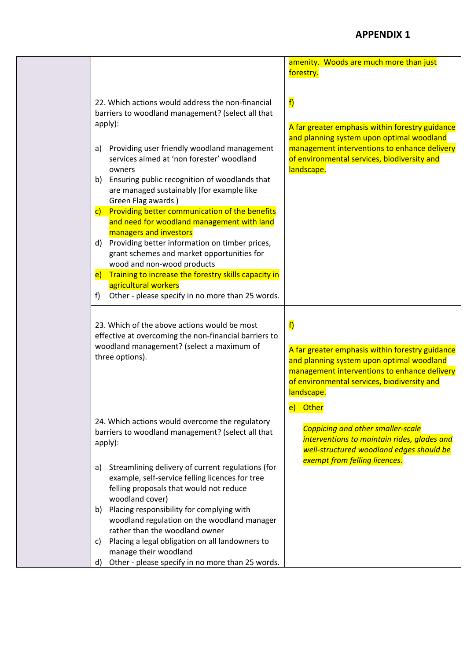|  |                                                                                                                                                                                                                                                                                                                                                                                                                                                                                                                                                                                                                                                                                                                                                                                                      | amenity. Woods are much more than just<br>forestry.                                                                                                                                                             |
|--|------------------------------------------------------------------------------------------------------------------------------------------------------------------------------------------------------------------------------------------------------------------------------------------------------------------------------------------------------------------------------------------------------------------------------------------------------------------------------------------------------------------------------------------------------------------------------------------------------------------------------------------------------------------------------------------------------------------------------------------------------------------------------------------------------|-----------------------------------------------------------------------------------------------------------------------------------------------------------------------------------------------------------------|
|  | 22. Which actions would address the non-financial<br>barriers to woodland management? (select all that<br>apply):<br>Providing user friendly woodland management<br>a)<br>services aimed at 'non forester' woodland<br>owners<br>Ensuring public recognition of woodlands that<br>b)<br>are managed sustainably (for example like<br>Green Flag awards)<br>Providing better communication of the benefits<br>$\mathsf{C}$<br>and need for woodland management with land<br>managers and investors<br>Providing better information on timber prices,<br>d)<br>grant schemes and market opportunities for<br>wood and non-wood products<br>Training to increase the forestry skills capacity in<br>$\vert e \rangle$<br>agricultural workers<br>Other - please specify in no more than 25 words.<br>f) | f<br>A far greater emphasis within forestry guidance<br>and planning system upon optimal woodland<br>management interventions to enhance delivery<br>of environmental services, biodiversity and<br>landscape.  |
|  | 23. Which of the above actions would be most<br>effective at overcoming the non-financial barriers to<br>woodland management? (select a maximum of<br>three options).                                                                                                                                                                                                                                                                                                                                                                                                                                                                                                                                                                                                                                | f)<br>A far greater emphasis within forestry guidance<br>and planning system upon optimal woodland<br>management interventions to enhance delivery<br>of environmental services, biodiversity and<br>landscape. |
|  | 24. Which actions would overcome the regulatory<br>barriers to woodland management? (select all that<br>apply):<br>Streamlining delivery of current regulations (for<br>a)<br>example, self-service felling licences for tree<br>felling proposals that would not reduce<br>woodland cover)<br>Placing responsibility for complying with<br>b)<br>woodland regulation on the woodland manager<br>rather than the woodland owner<br>Placing a legal obligation on all landowners to<br>C)<br>manage their woodland<br>Other - please specify in no more than 25 words.<br>d)                                                                                                                                                                                                                          | e) Other<br><b>Coppicing and other smaller-scale</b><br>interventions to maintain rides, glades and<br>well-structured woodland edges should be<br>exempt from felling licences.                                |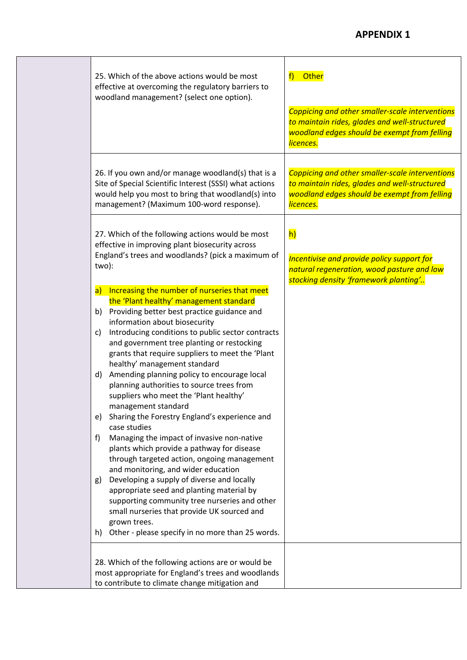| 25. Which of the above actions would be most<br>effective at overcoming the regulatory barriers to<br>woodland management? (select one option).                                                                                                                                                                                                                                                                                                                                                                                                                                                                                                                                                                                                                                                                                                                                                                                                                                                                                                                                                                                                                                                                                                              | Other<br>f<br><b>Coppicing and other smaller-scale interventions</b><br>to maintain rides, glades and well-structured<br>woodland edges should be exempt from felling<br>licences. |
|--------------------------------------------------------------------------------------------------------------------------------------------------------------------------------------------------------------------------------------------------------------------------------------------------------------------------------------------------------------------------------------------------------------------------------------------------------------------------------------------------------------------------------------------------------------------------------------------------------------------------------------------------------------------------------------------------------------------------------------------------------------------------------------------------------------------------------------------------------------------------------------------------------------------------------------------------------------------------------------------------------------------------------------------------------------------------------------------------------------------------------------------------------------------------------------------------------------------------------------------------------------|------------------------------------------------------------------------------------------------------------------------------------------------------------------------------------|
| 26. If you own and/or manage woodland(s) that is a<br>Site of Special Scientific Interest (SSSI) what actions<br>would help you most to bring that woodland(s) into<br>management? (Maximum 100-word response).                                                                                                                                                                                                                                                                                                                                                                                                                                                                                                                                                                                                                                                                                                                                                                                                                                                                                                                                                                                                                                              | <b>Coppicing and other smaller-scale interventions</b><br>to maintain rides, glades and well-structured<br>woodland edges should be exempt from felling<br>licences.               |
| 27. Which of the following actions would be most<br>effective in improving plant biosecurity across<br>England's trees and woodlands? (pick a maximum of<br>two):<br>Increasing the number of nurseries that meet<br>a)<br>the 'Plant healthy' management standard<br>b) Providing better best practice guidance and<br>information about biosecurity<br>Introducing conditions to public sector contracts<br>C)<br>and government tree planting or restocking<br>grants that require suppliers to meet the 'Plant<br>healthy' management standard<br>d) Amending planning policy to encourage local<br>planning authorities to source trees from<br>suppliers who meet the 'Plant healthy'<br>management standard<br>Sharing the Forestry England's experience and<br>e)<br>case studies<br>Managing the impact of invasive non-native<br>f)<br>plants which provide a pathway for disease<br>through targeted action, ongoing management<br>and monitoring, and wider education<br>Developing a supply of diverse and locally<br>g)<br>appropriate seed and planting material by<br>supporting community tree nurseries and other<br>small nurseries that provide UK sourced and<br>grown trees.<br>Other - please specify in no more than 25 words.<br>h) | h)<br><b>Incentivise and provide policy support for</b><br>natural regeneration, wood pasture and low<br>stocking density 'framework planting'                                     |
| 28. Which of the following actions are or would be<br>most appropriate for England's trees and woodlands<br>to contribute to climate change mitigation and                                                                                                                                                                                                                                                                                                                                                                                                                                                                                                                                                                                                                                                                                                                                                                                                                                                                                                                                                                                                                                                                                                   |                                                                                                                                                                                    |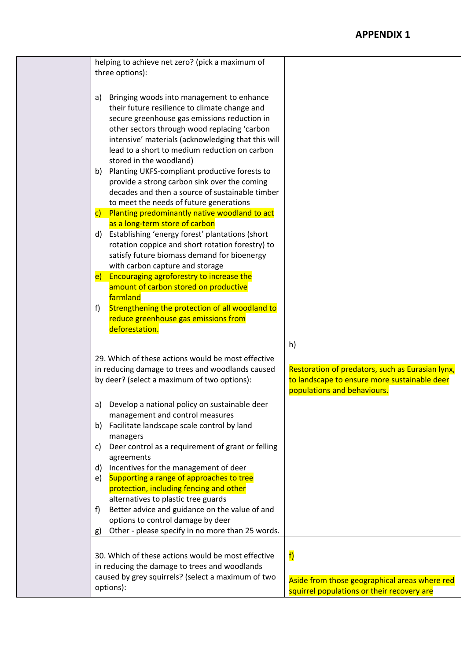| helping to achieve net zero? (pick a maximum of<br>three options):                                                                                                                                  |                                                                             |
|-----------------------------------------------------------------------------------------------------------------------------------------------------------------------------------------------------|-----------------------------------------------------------------------------|
|                                                                                                                                                                                                     |                                                                             |
| Bringing woods into management to enhance<br>a)<br>their future resilience to climate change and                                                                                                    |                                                                             |
| secure greenhouse gas emissions reduction in<br>other sectors through wood replacing 'carbon<br>intensive' materials (acknowledging that this will<br>lead to a short to medium reduction on carbon |                                                                             |
| stored in the woodland)<br>Planting UKFS-compliant productive forests to<br>b)<br>provide a strong carbon sink over the coming                                                                      |                                                                             |
| decades and then a source of sustainable timber<br>to meet the needs of future generations                                                                                                          |                                                                             |
| Planting predominantly native woodland to act<br>$\mathsf{c}$ )                                                                                                                                     |                                                                             |
| as a long-term store of carbon<br>Establishing 'energy forest' plantations (short<br>d)                                                                                                             |                                                                             |
| rotation coppice and short rotation forestry) to<br>satisfy future biomass demand for bioenergy                                                                                                     |                                                                             |
| with carbon capture and storage                                                                                                                                                                     |                                                                             |
| Encouraging agroforestry to increase the<br>$\vert e \rangle$<br>amount of carbon stored on productive<br>farmland                                                                                  |                                                                             |
| Strengthening the protection of all woodland to<br>f<br>reduce greenhouse gas emissions from<br>deforestation.                                                                                      |                                                                             |
|                                                                                                                                                                                                     | h)                                                                          |
| 29. Which of these actions would be most effective                                                                                                                                                  |                                                                             |
| in reducing damage to trees and woodlands caused                                                                                                                                                    | Restoration of predators, such as Eurasian lynx,                            |
| by deer? (select a maximum of two options):                                                                                                                                                         | to landscape to ensure more sustainable deer<br>populations and behaviours. |
| a) Develop a national policy on sustainable deer                                                                                                                                                    |                                                                             |
| management and control measures<br>Facilitate landscape scale control by land<br>b)                                                                                                                 |                                                                             |
| managers                                                                                                                                                                                            |                                                                             |
| Deer control as a requirement of grant or felling<br>C)<br>agreements                                                                                                                               |                                                                             |
| Incentives for the management of deer<br>d)                                                                                                                                                         |                                                                             |
| Supporting a range of approaches to tree<br>e)<br>protection, including fencing and other<br>alternatives to plastic tree guards                                                                    |                                                                             |
| Better advice and guidance on the value of and<br>f)                                                                                                                                                |                                                                             |
| options to control damage by deer                                                                                                                                                                   |                                                                             |
| Other - please specify in no more than 25 words.<br>g)                                                                                                                                              |                                                                             |
|                                                                                                                                                                                                     |                                                                             |
| 30. Which of these actions would be most effective<br>in reducing the damage to trees and woodlands                                                                                                 | f                                                                           |
| caused by grey squirrels? (select a maximum of two                                                                                                                                                  | Aside from those geographical areas where red                               |
| options):                                                                                                                                                                                           | squirrel populations or their recovery are                                  |
|                                                                                                                                                                                                     |                                                                             |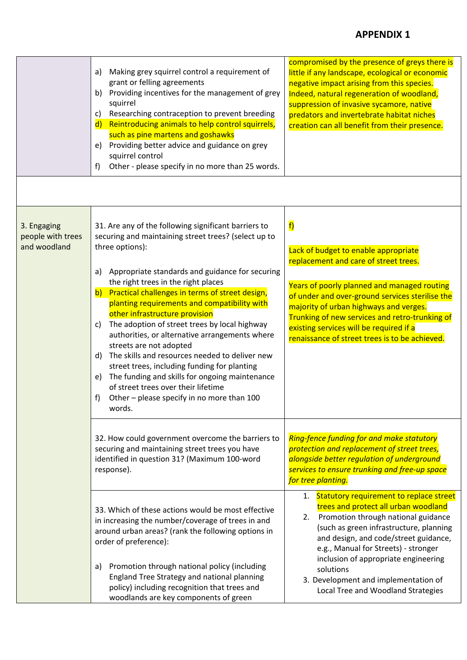|                                                  |                                                                                                                                                                                                                                                                                                                                                                                                                                                                                                                                                                                                                                                                                                                                                                                               | Making grey squirrel control a requirement of<br>a)<br>grant or felling agreements<br>Providing incentives for the management of grey<br>b)<br>squirrel<br>Researching contraception to prevent breeding<br>c)<br>Reintroducing animals to help control squirrels,<br>$\mathsf{d}$<br>such as pine martens and goshawks<br>Providing better advice and guidance on grey<br>e)<br>squirrel control<br>Other - please specify in no more than 25 words.<br>f) | compromised by the presence of greys there is<br>little if any landscape, ecological or economic<br>negative impact arising from this species.<br>Indeed, natural regeneration of woodland,<br>suppression of invasive sycamore, native<br>predators and invertebrate habitat niches<br>creation can all benefit from their presence. |
|--------------------------------------------------|-----------------------------------------------------------------------------------------------------------------------------------------------------------------------------------------------------------------------------------------------------------------------------------------------------------------------------------------------------------------------------------------------------------------------------------------------------------------------------------------------------------------------------------------------------------------------------------------------------------------------------------------------------------------------------------------------------------------------------------------------------------------------------------------------|-------------------------------------------------------------------------------------------------------------------------------------------------------------------------------------------------------------------------------------------------------------------------------------------------------------------------------------------------------------------------------------------------------------------------------------------------------------|---------------------------------------------------------------------------------------------------------------------------------------------------------------------------------------------------------------------------------------------------------------------------------------------------------------------------------------|
|                                                  |                                                                                                                                                                                                                                                                                                                                                                                                                                                                                                                                                                                                                                                                                                                                                                                               |                                                                                                                                                                                                                                                                                                                                                                                                                                                             |                                                                                                                                                                                                                                                                                                                                       |
| 3. Engaging<br>people with trees<br>and woodland | 31. Are any of the following significant barriers to<br>securing and maintaining street trees? (select up to<br>three options):<br>Appropriate standards and guidance for securing<br>a)<br>the right trees in the right places<br>Practical challenges in terms of street design,<br>$\mathsf{b}$<br>planting requirements and compatibility with<br>other infrastructure provision<br>The adoption of street trees by local highway<br>C)<br>authorities, or alternative arrangements where<br>streets are not adopted<br>The skills and resources needed to deliver new<br>d)<br>street trees, including funding for planting<br>The funding and skills for ongoing maintenance<br>e)<br>of street trees over their lifetime<br>f)<br>Other - please specify in no more than 100<br>words. | f<br>Lack of budget to enable appropriate<br>replacement and care of street trees.<br>Years of poorly planned and managed routing<br>of under and over-ground services sterilise the<br>majority of urban highways and verges.<br>Trunking of new services and retro-trunking of<br>existing services will be required if a<br>renaissance of street trees is to be achieved.                                                                               |                                                                                                                                                                                                                                                                                                                                       |
|                                                  |                                                                                                                                                                                                                                                                                                                                                                                                                                                                                                                                                                                                                                                                                                                                                                                               | 32. How could government overcome the barriers to<br>securing and maintaining street trees you have<br>identified in question 31? (Maximum 100-word<br>response).                                                                                                                                                                                                                                                                                           | <b>Ring-fence funding for and make statutory</b><br>protection and replacement of street trees,<br>alongside better regulation of underground<br>services to ensure trunking and free-up space<br>for tree planting.                                                                                                                  |
|                                                  |                                                                                                                                                                                                                                                                                                                                                                                                                                                                                                                                                                                                                                                                                                                                                                                               | 33. Which of these actions would be most effective<br>in increasing the number/coverage of trees in and<br>around urban areas? (rank the following options in<br>order of preference):<br>Promotion through national policy (including<br>a)                                                                                                                                                                                                                | 1. Statutory requirement to replace street<br>trees and protect all urban woodland<br>2. Promotion through national guidance<br>(such as green infrastructure, planning<br>and design, and code/street guidance,<br>e.g., Manual for Streets) - stronger<br>inclusion of appropriate engineering<br>solutions                         |
|                                                  |                                                                                                                                                                                                                                                                                                                                                                                                                                                                                                                                                                                                                                                                                                                                                                                               | England Tree Strategy and national planning<br>policy) including recognition that trees and<br>woodlands are key components of green                                                                                                                                                                                                                                                                                                                        | 3. Development and implementation of<br>Local Tree and Woodland Strategies                                                                                                                                                                                                                                                            |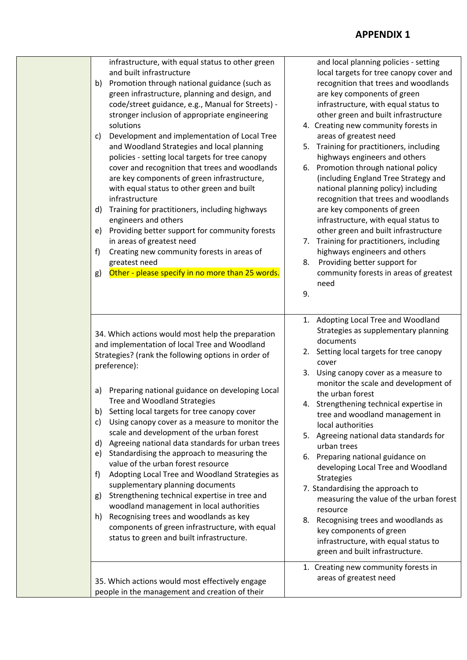| infrastructure, with equal status to other green<br>and built infrastructure<br>Promotion through national guidance (such as<br>b)<br>green infrastructure, planning and design, and<br>code/street guidance, e.g., Manual for Streets) -<br>stronger inclusion of appropriate engineering<br>solutions<br>Development and implementation of Local Tree<br>C)<br>and Woodland Strategies and local planning<br>policies - setting local targets for tree canopy<br>cover and recognition that trees and woodlands<br>are key components of green infrastructure,<br>with equal status to other green and built<br>infrastructure<br>Training for practitioners, including highways<br>d)<br>engineers and others<br>Providing better support for community forests<br>e)<br>in areas of greatest need<br>Creating new community forests in areas of<br>f)<br>greatest need<br>Other - please specify in no more than 25 words.<br>g) | and local planning policies - setting<br>local targets for tree canopy cover and<br>recognition that trees and woodlands<br>are key components of green<br>infrastructure, with equal status to<br>other green and built infrastructure<br>4. Creating new community forests in<br>areas of greatest need<br>Training for practitioners, including<br>5.<br>highways engineers and others<br>6. Promotion through national policy<br>(including England Tree Strategy and<br>national planning policy) including<br>recognition that trees and woodlands<br>are key components of green<br>infrastructure, with equal status to<br>other green and built infrastructure<br>7. Training for practitioners, including<br>highways engineers and others<br>8. Providing better support for<br>community forests in areas of greatest<br>need<br>9.<br>Adopting Local Tree and Woodland<br>1. |
|--------------------------------------------------------------------------------------------------------------------------------------------------------------------------------------------------------------------------------------------------------------------------------------------------------------------------------------------------------------------------------------------------------------------------------------------------------------------------------------------------------------------------------------------------------------------------------------------------------------------------------------------------------------------------------------------------------------------------------------------------------------------------------------------------------------------------------------------------------------------------------------------------------------------------------------|-------------------------------------------------------------------------------------------------------------------------------------------------------------------------------------------------------------------------------------------------------------------------------------------------------------------------------------------------------------------------------------------------------------------------------------------------------------------------------------------------------------------------------------------------------------------------------------------------------------------------------------------------------------------------------------------------------------------------------------------------------------------------------------------------------------------------------------------------------------------------------------------|
| 34. Which actions would most help the preparation<br>and implementation of local Tree and Woodland<br>Strategies? (rank the following options in order of<br>preference):                                                                                                                                                                                                                                                                                                                                                                                                                                                                                                                                                                                                                                                                                                                                                            | Strategies as supplementary planning<br>documents<br>Setting local targets for tree canopy<br>2.<br>cover<br>3. Using canopy cover as a measure to                                                                                                                                                                                                                                                                                                                                                                                                                                                                                                                                                                                                                                                                                                                                        |
| Preparing national guidance on developing Local<br>a)<br>Tree and Woodland Strategies<br>b) Setting local targets for tree canopy cover<br>Using canopy cover as a measure to monitor the<br>C)<br>scale and development of the urban forest<br>Agreeing national data standards for urban trees<br>d)<br>Standardising the approach to measuring the<br>e)<br>value of the urban forest resource<br>Adopting Local Tree and Woodland Strategies as<br>f)<br>supplementary planning documents<br>Strengthening technical expertise in tree and<br>g)<br>woodland management in local authorities<br>Recognising trees and woodlands as key<br>h)<br>components of green infrastructure, with equal<br>status to green and built infrastructure.                                                                                                                                                                                      | monitor the scale and development of<br>the urban forest<br>4. Strengthening technical expertise in<br>tree and woodland management in<br>local authorities<br>5. Agreeing national data standards for<br>urban trees<br>6. Preparing national guidance on<br>developing Local Tree and Woodland<br><b>Strategies</b><br>7. Standardising the approach to<br>measuring the value of the urban forest<br>resource<br>Recognising trees and woodlands as<br>8.<br>key components of green<br>infrastructure, with equal status to<br>green and built infrastructure.<br>1. Creating new community forests in                                                                                                                                                                                                                                                                                |
| 35. Which actions would most effectively engage<br>people in the management and creation of their                                                                                                                                                                                                                                                                                                                                                                                                                                                                                                                                                                                                                                                                                                                                                                                                                                    | areas of greatest need                                                                                                                                                                                                                                                                                                                                                                                                                                                                                                                                                                                                                                                                                                                                                                                                                                                                    |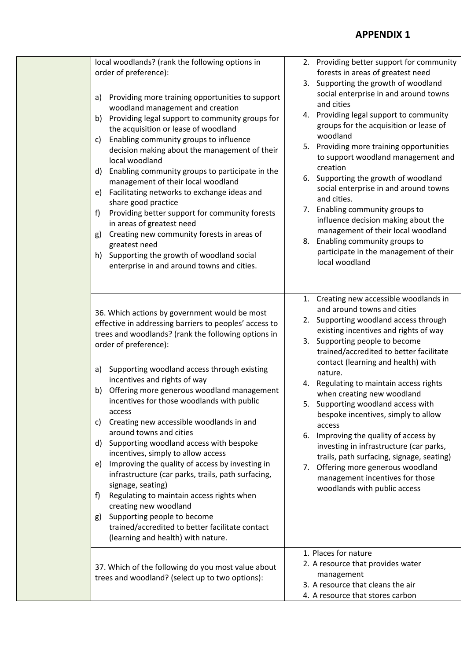| local woodlands? (rank the following options in<br>order of preference):<br>Providing more training opportunities to support<br>a)<br>woodland management and creation<br>Providing legal support to community groups for<br>b)<br>the acquisition or lease of woodland<br>Enabling community groups to influence<br>C)<br>decision making about the management of their<br>local woodland<br>Enabling community groups to participate in the<br>d)<br>management of their local woodland<br>Facilitating networks to exchange ideas and<br>e)<br>share good practice<br>Providing better support for community forests<br>f)<br>in areas of greatest need<br>Creating new community forests in areas of<br>g)<br>greatest need<br>Supporting the growth of woodland social<br>h)<br>enterprise in and around towns and cities.                                                                           | 2. Providing better support for community<br>forests in areas of greatest need<br>3. Supporting the growth of woodland<br>social enterprise in and around towns<br>and cities<br>4. Providing legal support to community<br>groups for the acquisition or lease of<br>woodland<br>5. Providing more training opportunities<br>to support woodland management and<br>creation<br>6. Supporting the growth of woodland<br>social enterprise in and around towns<br>and cities.<br>7. Enabling community groups to<br>influence decision making about the<br>management of their local woodland<br>8. Enabling community groups to<br>participate in the management of their<br>local woodland      |
|-----------------------------------------------------------------------------------------------------------------------------------------------------------------------------------------------------------------------------------------------------------------------------------------------------------------------------------------------------------------------------------------------------------------------------------------------------------------------------------------------------------------------------------------------------------------------------------------------------------------------------------------------------------------------------------------------------------------------------------------------------------------------------------------------------------------------------------------------------------------------------------------------------------|--------------------------------------------------------------------------------------------------------------------------------------------------------------------------------------------------------------------------------------------------------------------------------------------------------------------------------------------------------------------------------------------------------------------------------------------------------------------------------------------------------------------------------------------------------------------------------------------------------------------------------------------------------------------------------------------------|
| 36. Which actions by government would be most<br>effective in addressing barriers to peoples' access to<br>trees and woodlands? (rank the following options in<br>order of preference):<br>Supporting woodland access through existing<br>a)<br>incentives and rights of way<br>Offering more generous woodland management<br>b)<br>incentives for those woodlands with public<br>access<br>Creating new accessible woodlands in and<br>C)<br>around towns and cities<br>Supporting woodland access with bespoke<br>d)<br>incentives, simply to allow access<br>Improving the quality of access by investing in<br>e)<br>infrastructure (car parks, trails, path surfacing,<br>signage, seating)<br>Regulating to maintain access rights when<br>f<br>creating new woodland<br>Supporting people to become<br>g)<br>trained/accredited to better facilitate contact<br>(learning and health) with nature. | 1. Creating new accessible woodlands in<br>and around towns and cities<br>2. Supporting woodland access through<br>existing incentives and rights of way<br>3. Supporting people to become<br>trained/accredited to better facilitate<br>contact (learning and health) with<br>nature.<br>4. Regulating to maintain access rights<br>when creating new woodland<br>5. Supporting woodland access with<br>bespoke incentives, simply to allow<br>access<br>6. Improving the quality of access by<br>investing in infrastructure (car parks,<br>trails, path surfacing, signage, seating)<br>7. Offering more generous woodland<br>management incentives for those<br>woodlands with public access |
| 37. Which of the following do you most value about<br>trees and woodland? (select up to two options):                                                                                                                                                                                                                                                                                                                                                                                                                                                                                                                                                                                                                                                                                                                                                                                                     | 1. Places for nature<br>2. A resource that provides water<br>management<br>3. A resource that cleans the air<br>4. A resource that stores carbon                                                                                                                                                                                                                                                                                                                                                                                                                                                                                                                                                 |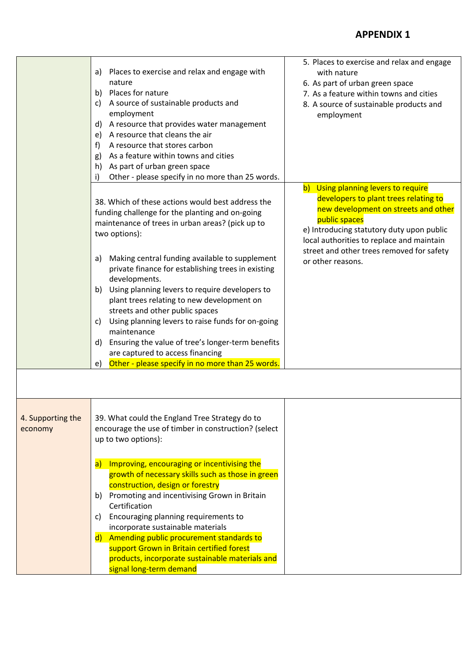|                              | 5. Places to exercise and relax and engage<br>Places to exercise and relax and engage with<br>a)<br>with nature<br>nature<br>6. As part of urban green space<br>Places for nature<br>b)<br>7. As a feature within towns and cities<br>A source of sustainable products and<br>C)<br>8. A source of sustainable products and<br>employment<br>employment<br>A resource that provides water management<br>d)<br>A resource that cleans the air<br>e)<br>A resource that stores carbon<br>f)<br>As a feature within towns and cities<br>g)<br>As part of urban green space<br>h)<br>Other - please specify in no more than 25 words.<br>i)                                                                                                                                                                                                                                                                                         |
|------------------------------|---------------------------------------------------------------------------------------------------------------------------------------------------------------------------------------------------------------------------------------------------------------------------------------------------------------------------------------------------------------------------------------------------------------------------------------------------------------------------------------------------------------------------------------------------------------------------------------------------------------------------------------------------------------------------------------------------------------------------------------------------------------------------------------------------------------------------------------------------------------------------------------------------------------------------------|
|                              | b) Using planning levers to require<br>developers to plant trees relating to<br>38. Which of these actions would best address the<br>new development on streets and other<br>funding challenge for the planting and on-going<br>public spaces<br>maintenance of trees in urban areas? (pick up to<br>e) Introducing statutory duty upon public<br>two options):<br>local authorities to replace and maintain<br>street and other trees removed for safety<br>Making central funding available to supplement<br>a)<br>or other reasons.<br>private finance for establishing trees in existing<br>developments.<br>Using planning levers to require developers to<br>b)<br>plant trees relating to new development on<br>streets and other public spaces<br>Using planning levers to raise funds for on-going<br>C)<br>maintenance<br>Ensuring the value of tree's longer-term benefits<br>d)<br>are captured to access financing |
|                              | Other - please specify in no more than 25 words.<br>e)                                                                                                                                                                                                                                                                                                                                                                                                                                                                                                                                                                                                                                                                                                                                                                                                                                                                          |
| 4. Supporting the<br>economy | 39. What could the England Tree Strategy do to<br>encourage the use of timber in construction? (select<br>up to two options):                                                                                                                                                                                                                                                                                                                                                                                                                                                                                                                                                                                                                                                                                                                                                                                                   |
|                              | Improving, encouraging or incentivising the<br> a <br>growth of necessary skills such as those in green<br>construction, design or forestry<br>Promoting and incentivising Grown in Britain<br>b)<br>Certification<br>Encouraging planning requirements to<br>C)<br>incorporate sustainable materials<br>Amending public procurement standards to<br>$\mathsf{d}$<br>support Grown in Britain certified forest<br>products, incorporate sustainable materials and<br>signal long-term demand                                                                                                                                                                                                                                                                                                                                                                                                                                    |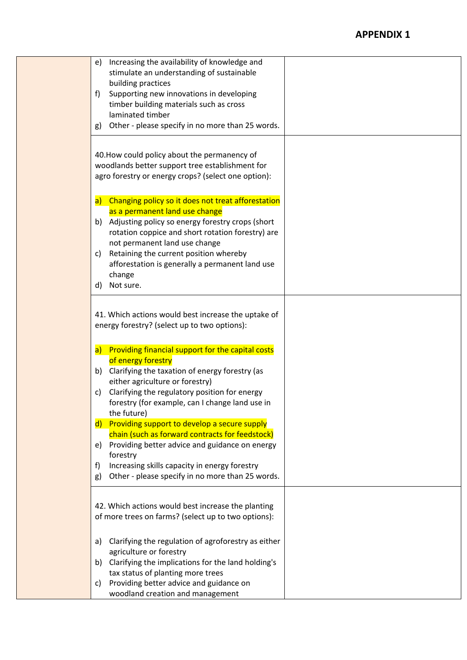| Increasing the availability of knowledge and<br>e)<br>stimulate an understanding of sustainable             |  |
|-------------------------------------------------------------------------------------------------------------|--|
| building practices                                                                                          |  |
| Supporting new innovations in developing<br>f)                                                              |  |
| timber building materials such as cross                                                                     |  |
| laminated timber                                                                                            |  |
| Other - please specify in no more than 25 words.<br>g)                                                      |  |
|                                                                                                             |  |
| 40. How could policy about the permanency of                                                                |  |
| woodlands better support tree establishment for                                                             |  |
| agro forestry or energy crops? (select one option):                                                         |  |
|                                                                                                             |  |
| Changing policy so it does not treat afforestation<br>a)                                                    |  |
| as a permanent land use change                                                                              |  |
| Adjusting policy so energy forestry crops (short<br>b)<br>rotation coppice and short rotation forestry) are |  |
| not permanent land use change                                                                               |  |
| Retaining the current position whereby<br>C)                                                                |  |
| afforestation is generally a permanent land use                                                             |  |
| change                                                                                                      |  |
| Not sure.<br>d)                                                                                             |  |
|                                                                                                             |  |
| 41. Which actions would best increase the uptake of                                                         |  |
| energy forestry? (select up to two options):                                                                |  |
|                                                                                                             |  |
| Providing financial support for the capital costs<br>$\mathsf{a}$                                           |  |
| of energy forestry<br>Clarifying the taxation of energy forestry (as<br>b)                                  |  |
| either agriculture or forestry)                                                                             |  |
| Clarifying the regulatory position for energy<br>c)                                                         |  |
| forestry (for example, can I change land use in                                                             |  |
| the future)                                                                                                 |  |
| Providing support to develop a secure supply<br>$\mathsf{d}$                                                |  |
| chain (such as forward contracts for feedstock)<br>Providing better advice and guidance on energy           |  |
| e)<br>forestry                                                                                              |  |
| Increasing skills capacity in energy forestry<br>f)                                                         |  |
| Other - please specify in no more than 25 words.<br>g)                                                      |  |
|                                                                                                             |  |
| 42. Which actions would best increase the planting                                                          |  |
| of more trees on farms? (select up to two options):                                                         |  |
|                                                                                                             |  |
| Clarifying the regulation of agroforestry as either<br>a)                                                   |  |
| agriculture or forestry                                                                                     |  |
| Clarifying the implications for the land holding's<br>b)                                                    |  |
| tax status of planting more trees                                                                           |  |
| Providing better advice and guidance on<br>C)                                                               |  |
| woodland creation and management                                                                            |  |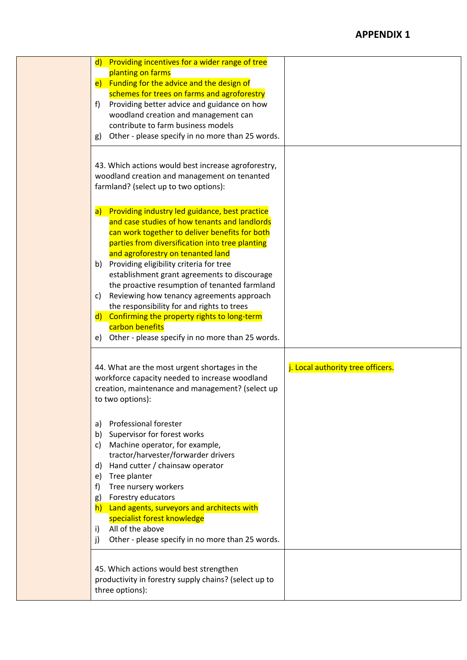| $\mathsf{d}$<br>Providing incentives for a wider range of tree<br>planting on farms<br>e) Funding for the advice and the design of<br>schemes for trees on farms and agroforestry<br>Providing better advice and guidance on how<br>f)<br>woodland creation and management can<br>contribute to farm business models<br>Other - please specify in no more than 25 words.<br>g)                                                                                                                                                                                                                                                     |                                   |
|------------------------------------------------------------------------------------------------------------------------------------------------------------------------------------------------------------------------------------------------------------------------------------------------------------------------------------------------------------------------------------------------------------------------------------------------------------------------------------------------------------------------------------------------------------------------------------------------------------------------------------|-----------------------------------|
| 43. Which actions would best increase agroforestry,<br>woodland creation and management on tenanted<br>farmland? (select up to two options):                                                                                                                                                                                                                                                                                                                                                                                                                                                                                       |                                   |
| Providing industry led guidance, best practice<br> a <br>and case studies of how tenants and landlords<br>can work together to deliver benefits for both<br>parties from diversification into tree planting<br>and agroforestry on tenanted land<br>Providing eligibility criteria for tree<br>b)<br>establishment grant agreements to discourage<br>the proactive resumption of tenanted farmland<br>Reviewing how tenancy agreements approach<br>C)<br>the responsibility for and rights to trees<br>d) Confirming the property rights to long-term<br>carbon benefits<br>Other - please specify in no more than 25 words.<br>e) |                                   |
| 44. What are the most urgent shortages in the<br>workforce capacity needed to increase woodland<br>creation, maintenance and management? (select up<br>to two options):                                                                                                                                                                                                                                                                                                                                                                                                                                                            | j. Local authority tree officers. |
| Professional forester<br>a)<br>b) Supervisor for forest works<br>c) Machine operator, for example,<br>tractor/harvester/forwarder drivers<br>Hand cutter / chainsaw operator<br>d)<br>Tree planter<br>e)<br>Tree nursery workers<br>f)<br>Forestry educators<br>g)<br>h) Land agents, surveyors and architects with<br>specialist forest knowledge<br>All of the above<br>i)<br>Other - please specify in no more than 25 words.<br>j)                                                                                                                                                                                             |                                   |
| 45. Which actions would best strengthen<br>productivity in forestry supply chains? (select up to<br>three options):                                                                                                                                                                                                                                                                                                                                                                                                                                                                                                                |                                   |